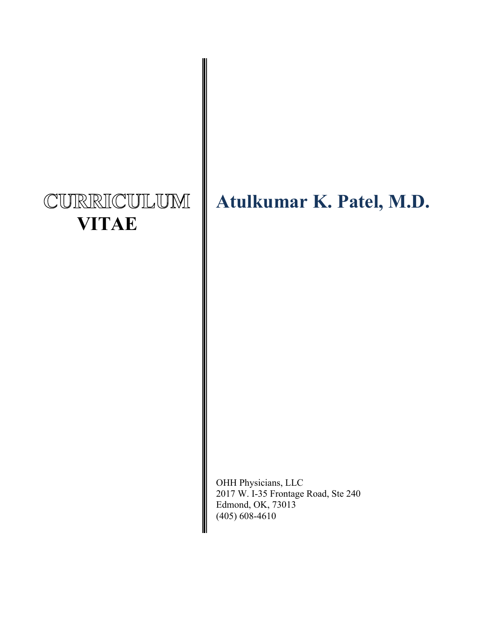# CURRICULUM  **VITAE**

## **Atulkumar K. Patel, M.D.**

OHH Physicians, LLC 2017 W. I-35 Frontage Road, Ste 240 Edmond, OK, 73013 (405) 608-4610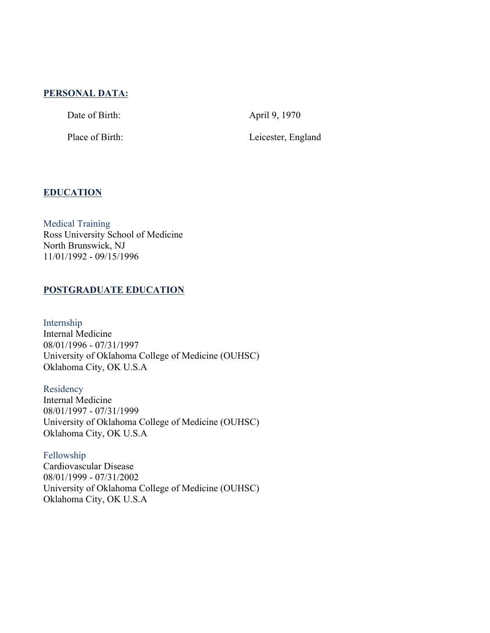## **PERSONAL DATA:**

Date of Birth: April 9, 1970

Place of Birth: Leicester, England

## **EDUCATION**

Medical Training Ross University School of Medicine North Brunswick, NJ 11/01/1992 - 09/15/1996

## **POSTGRADUATE EDUCATION**

Internship Internal Medicine 08/01/1996 - 07/31/1997 University of Oklahoma College of Medicine (OUHSC) Oklahoma City, OK U.S.A

Residency Internal Medicine 08/01/1997 - 07/31/1999 University of Oklahoma College of Medicine (OUHSC) Oklahoma City, OK U.S.A

Fellowship Cardiovascular Disease 08/01/1999 - 07/31/2002 University of Oklahoma College of Medicine (OUHSC) Oklahoma City, OK U.S.A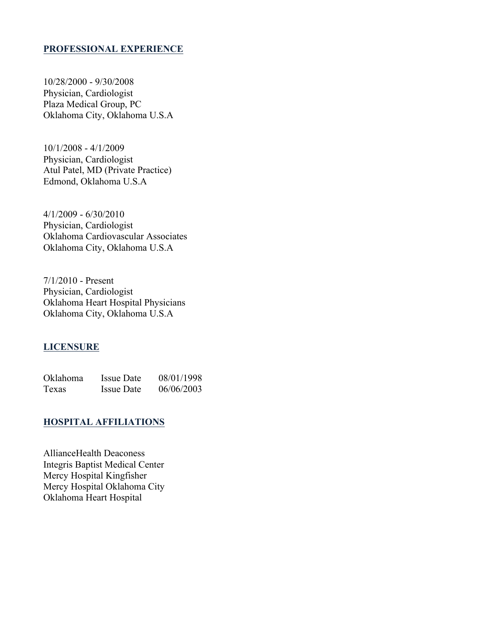## **PROFESSIONAL EXPERIENCE**

10/28/2000 - 9/30/2008 Physician, Cardiologist Plaza Medical Group, PC Oklahoma City, Oklahoma U.S.A

10/1/2008 - 4/1/2009 Physician, Cardiologist Atul Patel, MD (Private Practice) Edmond, Oklahoma U.S.A

4/1/2009 - 6/30/2010 Physician, Cardiologist Oklahoma Cardiovascular Associates Oklahoma City, Oklahoma U.S.A

7/1/2010 - Present Physician, Cardiologist Oklahoma Heart Hospital Physicians Oklahoma City, Oklahoma U.S.A

#### **LICENSURE**

| Oklahoma | Issue Date        | 08/01/1998 |
|----------|-------------------|------------|
| Texas    | <b>Issue Date</b> | 06/06/2003 |

## **HOSPITAL AFFILIATIONS**

AllianceHealth Deaconess Integris Baptist Medical Center Mercy Hospital Kingfisher Mercy Hospital Oklahoma City Oklahoma Heart Hospital